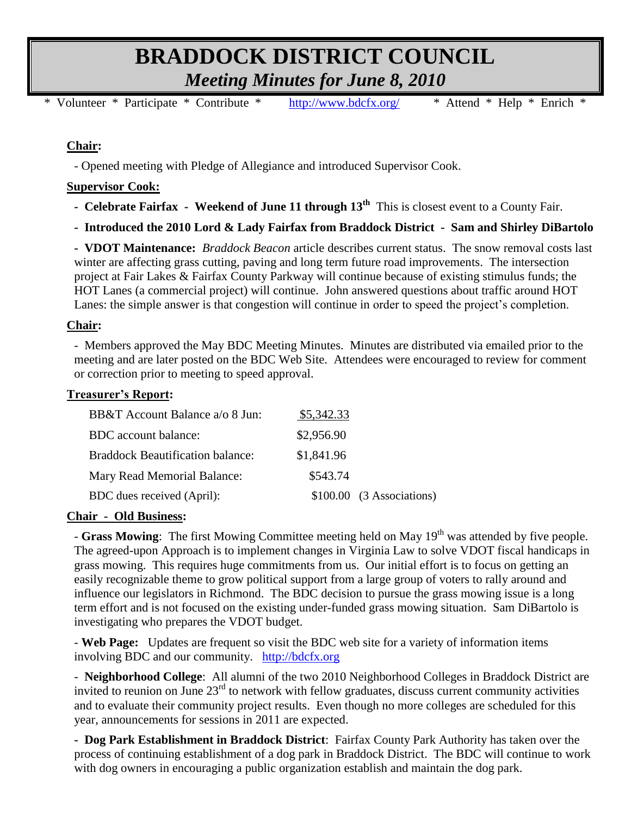# **BRADDOCK DISTRICT COUNCIL** *Meeting Minutes for June 8, 2010*

\* Volunteer \* Participate \* Contribute \* <http://www.bdcfx.org/>\* Attend \* Help \* Enrich \*

# **Chair:**

- Opened meeting with Pledge of Allegiance and introduced Supervisor Cook.

## **Supervisor Cook:**

**- Celebrate Fairfax - Weekend of June 11 through 13th** This is closest event to a County Fair.

**- Introduced the 2010 Lord & Lady Fairfax from Braddock District - Sam and Shirley DiBartolo**

**- VDOT Maintenance:** *Braddock Beacon* article describes current status. The snow removal costs last winter are affecting grass cutting, paving and long term future road improvements. The intersection project at Fair Lakes & Fairfax County Parkway will continue because of existing stimulus funds; the HOT Lanes (a commercial project) will continue. John answered questions about traffic around HOT Lanes: the simple answer is that congestion will continue in order to speed the project's completion.

## **Chair:**

- Members approved the May BDC Meeting Minutes. Minutes are distributed via emailed prior to the meeting and are later posted on the BDC Web Site. Attendees were encouraged to review for comment or correction prior to meeting to speed approval.

## **Treasurer's Report:**

| BB&T Account Balance a/o 8 Jun:         | \$5,342.33 |                              |
|-----------------------------------------|------------|------------------------------|
| BDC account balance:                    | \$2,956.90 |                              |
| <b>Braddock Beautification balance:</b> | \$1,841.96 |                              |
| Mary Read Memorial Balance:             | \$543.74   |                              |
| BDC dues received (April):              |            | $$100.00$ $(3$ Associations) |

## **Chair - Old Business:**

- Grass Mowing: The first Mowing Committee meeting held on May 19<sup>th</sup> was attended by five people. The agreed-upon Approach is to implement changes in Virginia Law to solve VDOT fiscal handicaps in grass mowing. This requires huge commitments from us. Our initial effort is to focus on getting an easily recognizable theme to grow political support from a large group of voters to rally around and influence our legislators in Richmond. The BDC decision to pursue the grass mowing issue is a long term effort and is not focused on the existing under-funded grass mowing situation. Sam DiBartolo is investigating who prepares the VDOT budget.

- **Web Page:** Updates are frequent so visit the BDC web site for a variety of information items involving BDC and our community. [http://bdcfx.org](http://bdcfx.org/)

- **Neighborhood College**: All alumni of the two 2010 Neighborhood Colleges in Braddock District are invited to reunion on June 23rd to network with fellow graduates, discuss current community activities and to evaluate their community project results. Even though no more colleges are scheduled for this year, announcements for sessions in 2011 are expected.

**- Dog Park Establishment in Braddock District**: Fairfax County Park Authority has taken over the process of continuing establishment of a dog park in Braddock District. The BDC will continue to work with dog owners in encouraging a public organization establish and maintain the dog park.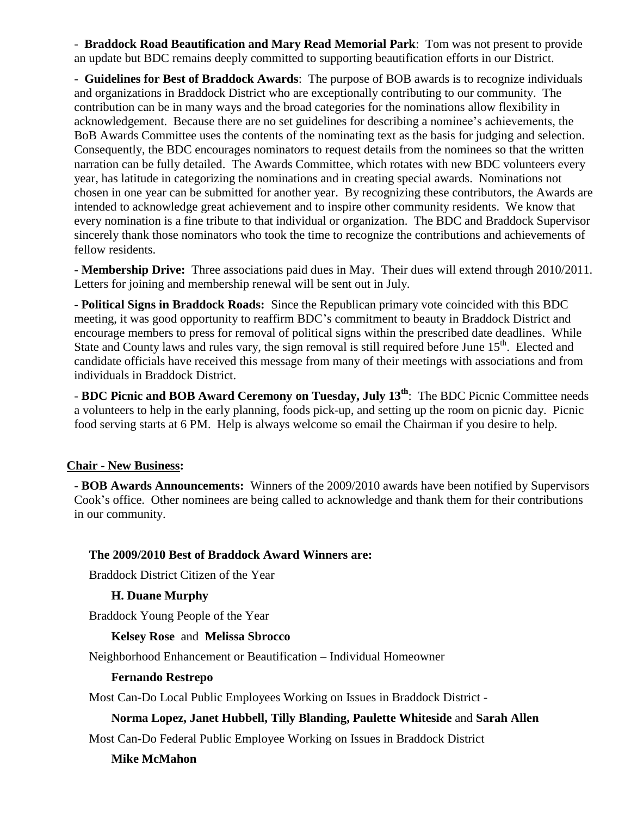- **Braddock Road Beautification and Mary Read Memorial Park**: Tom was not present to provide an update but BDC remains deeply committed to supporting beautification efforts in our District.

- **Guidelines for Best of Braddock Awards**: The purpose of BOB awards is to recognize individuals and organizations in Braddock District who are exceptionally contributing to our community. The contribution can be in many ways and the broad categories for the nominations allow flexibility in acknowledgement. Because there are no set guidelines for describing a nominee's achievements, the BoB Awards Committee uses the contents of the nominating text as the basis for judging and selection. Consequently, the BDC encourages nominators to request details from the nominees so that the written narration can be fully detailed. The Awards Committee, which rotates with new BDC volunteers every year, has latitude in categorizing the nominations and in creating special awards. Nominations not chosen in one year can be submitted for another year. By recognizing these contributors, the Awards are intended to acknowledge great achievement and to inspire other community residents. We know that every nomination is a fine tribute to that individual or organization. The BDC and Braddock Supervisor sincerely thank those nominators who took the time to recognize the contributions and achievements of fellow residents.

- **Membership Drive:** Three associations paid dues in May. Their dues will extend through 2010/2011. Letters for joining and membership renewal will be sent out in July.

- **Political Signs in Braddock Roads:** Since the Republican primary vote coincided with this BDC meeting, it was good opportunity to reaffirm BDC's commitment to beauty in Braddock District and encourage members to press for removal of political signs within the prescribed date deadlines. While State and County laws and rules vary, the sign removal is still required before June 15<sup>th</sup>. Elected and candidate officials have received this message from many of their meetings with associations and from individuals in Braddock District.

- **BDC Picnic and BOB Award Ceremony on Tuesday, July 13th** : The BDC Picnic Committee needs a volunteers to help in the early planning, foods pick-up, and setting up the room on picnic day. Picnic food serving starts at 6 PM. Help is always welcome so email the Chairman if you desire to help.

## **Chair - New Business:**

- **BOB Awards Announcements:** Winners of the 2009/2010 awards have been notified by Supervisors Cook's office. Other nominees are being called to acknowledge and thank them for their contributions in our community.

## **The 2009/2010 Best of Braddock Award Winners are:**

Braddock District Citizen of the Year

## **H. Duane Murphy**

Braddock Young People of the Year

#### **Kelsey Rose** and **Melissa Sbrocco**

Neighborhood Enhancement or Beautification – Individual Homeowner

#### **Fernando Restrepo**

Most Can-Do Local Public Employees Working on Issues in Braddock District -

## **Norma Lopez, Janet Hubbell, Tilly Blanding, Paulette Whiteside** and **Sarah Allen**

Most Can-Do Federal Public Employee Working on Issues in Braddock District

#### **Mike McMahon**